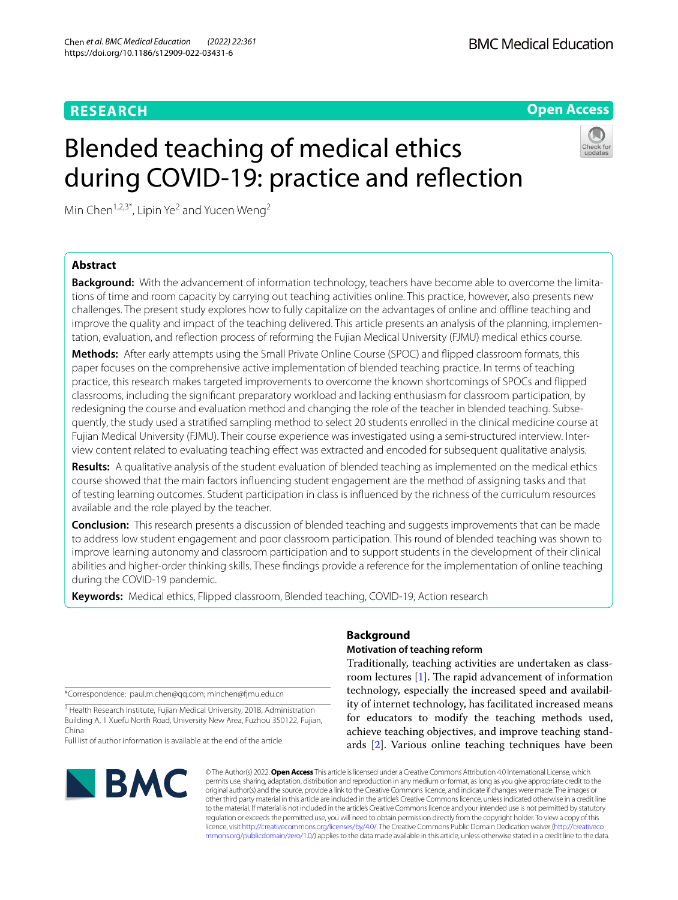# **RESEARCH**

**Open Access**

# Blended teaching of medical ethics during COVID-19: practice and refection



Min Chen<sup>1,2,3\*</sup>, Lipin Ye<sup>2</sup> and Yucen Weng<sup>2</sup>

# **Abstract**

**Background:** With the advancement of information technology, teachers have become able to overcome the limitations of time and room capacity by carrying out teaching activities online. This practice, however, also presents new challenges. The present study explores how to fully capitalize on the advantages of online and ofine teaching and improve the quality and impact of the teaching delivered. This article presents an analysis of the planning, implementation, evaluation, and refection process of reforming the Fujian Medical University (FJMU) medical ethics course.

**Methods:** After early attempts using the Small Private Online Course (SPOC) and fipped classroom formats, this paper focuses on the comprehensive active implementation of blended teaching practice. In terms of teaching practice, this research makes targeted improvements to overcome the known shortcomings of SPOCs and fipped classrooms, including the signifcant preparatory workload and lacking enthusiasm for classroom participation, by redesigning the course and evaluation method and changing the role of the teacher in blended teaching. Subsequently, the study used a stratifed sampling method to select 20 students enrolled in the clinical medicine course at Fujian Medical University (FJMU). Their course experience was investigated using a semi-structured interview. Interview content related to evaluating teaching efect was extracted and encoded for subsequent qualitative analysis.

**Results:** A qualitative analysis of the student evaluation of blended teaching as implemented on the medical ethics course showed that the main factors infuencing student engagement are the method of assigning tasks and that of testing learning outcomes. Student participation in class is infuenced by the richness of the curriculum resources available and the role played by the teacher.

**Conclusion:** This research presents a discussion of blended teaching and suggests improvements that can be made to address low student engagement and poor classroom participation. This round of blended teaching was shown to improve learning autonomy and classroom participation and to support students in the development of their clinical abilities and higher-order thinking skills. These fndings provide a reference for the implementation of online teaching during the COVID-19 pandemic.

**Keywords:** Medical ethics, Flipped classroom, Blended teaching, COVID-19, Action research

\*Correspondence: paul.m.chen@qq.com; minchen@fmu.edu.cn

<sup>3</sup> Health Research Institute, Fujian Medical University, 201B, Administration Building A, 1 Xuefu North Road, University New Area, Fuzhou 350122, Fujian, China

Full list of author information is available at the end of the article



# **Background**

# **Motivation of teaching reform**

Traditionally, teaching activities are undertaken as classroom lectures  $[1]$  $[1]$ . The rapid advancement of information technology, especially the increased speed and availability of internet technology, has facilitated increased means for educators to modify the teaching methods used, achieve teaching objectives, and improve teaching standards [\[2](#page-8-1)]. Various online teaching techniques have been

© The Author(s) 2022. **Open Access** This article is licensed under a Creative Commons Attribution 4.0 International License, which permits use, sharing, adaptation, distribution and reproduction in any medium or format, as long as you give appropriate credit to the original author(s) and the source, provide a link to the Creative Commons licence, and indicate if changes were made. The images or other third party material in this article are included in the article's Creative Commons licence, unless indicated otherwise in a credit line to the material. If material is not included in the article's Creative Commons licence and your intended use is not permitted by statutory regulation or exceeds the permitted use, you will need to obtain permission directly from the copyright holder. To view a copy of this licence, visit [http://creativecommons.org/licenses/by/4.0/.](http://creativecommons.org/licenses/by/4.0/) The Creative Commons Public Domain Dedication waiver ([http://creativeco](http://creativecommons.org/publicdomain/zero/1.0/) [mmons.org/publicdomain/zero/1.0/](http://creativecommons.org/publicdomain/zero/1.0/)) applies to the data made available in this article, unless otherwise stated in a credit line to the data.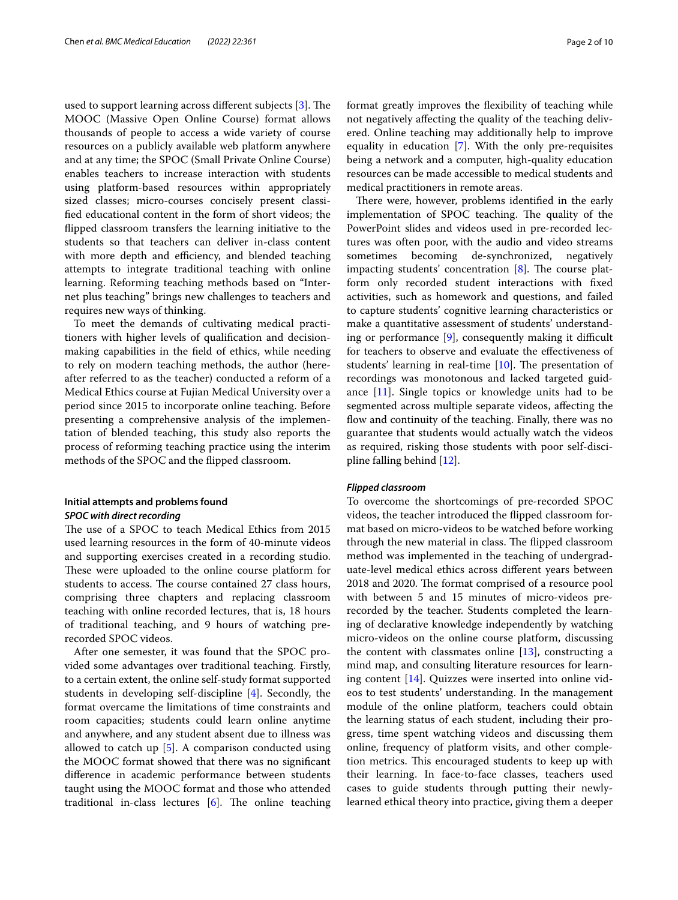used to support learning across different subjects  $[3]$  $[3]$ . The MOOC (Massive Open Online Course) format allows thousands of people to access a wide variety of course resources on a publicly available web platform anywhere and at any time; the SPOC (Small Private Online Course) enables teachers to increase interaction with students using platform-based resources within appropriately sized classes; micro-courses concisely present classifed educational content in the form of short videos; the fipped classroom transfers the learning initiative to the students so that teachers can deliver in-class content with more depth and efficiency, and blended teaching attempts to integrate traditional teaching with online learning. Reforming teaching methods based on "Internet plus teaching" brings new challenges to teachers and requires new ways of thinking.

To meet the demands of cultivating medical practitioners with higher levels of qualifcation and decisionmaking capabilities in the feld of ethics, while needing to rely on modern teaching methods, the author (hereafter referred to as the teacher) conducted a reform of a Medical Ethics course at Fujian Medical University over a period since 2015 to incorporate online teaching. Before presenting a comprehensive analysis of the implementation of blended teaching, this study also reports the process of reforming teaching practice using the interim methods of the SPOC and the fipped classroom.

## **Initial attempts and problems found** *SPOC with direct recording*

The use of a SPOC to teach Medical Ethics from 2015 used learning resources in the form of 40-minute videos and supporting exercises created in a recording studio. These were uploaded to the online course platform for students to access. The course contained 27 class hours, comprising three chapters and replacing classroom teaching with online recorded lectures, that is, 18 hours of traditional teaching, and 9 hours of watching prerecorded SPOC videos.

After one semester, it was found that the SPOC provided some advantages over traditional teaching. Firstly, to a certain extent, the online self-study format supported students in developing self-discipline [\[4](#page-8-3)]. Secondly, the format overcame the limitations of time constraints and room capacities; students could learn online anytime and anywhere, and any student absent due to illness was allowed to catch up [[5\]](#page-8-4). A comparison conducted using the MOOC format showed that there was no signifcant diference in academic performance between students taught using the MOOC format and those who attended traditional in-class lectures  $[6]$ . The online teaching format greatly improves the fexibility of teaching while not negatively afecting the quality of the teaching delivered. Online teaching may additionally help to improve equality in education [\[7](#page-8-6)]. With the only pre-requisites being a network and a computer, high-quality education resources can be made accessible to medical students and medical practitioners in remote areas.

There were, however, problems identified in the early implementation of SPOC teaching. The quality of the PowerPoint slides and videos used in pre-recorded lectures was often poor, with the audio and video streams sometimes becoming de-synchronized, negatively impacting students' concentration  $[8]$  $[8]$ . The course platform only recorded student interactions with fxed activities, such as homework and questions, and failed to capture students' cognitive learning characteristics or make a quantitative assessment of students' understanding or performance  $[9]$  $[9]$ , consequently making it difficult for teachers to observe and evaluate the efectiveness of students' learning in real-time  $[10]$  $[10]$ . The presentation of recordings was monotonous and lacked targeted guidance [\[11\]](#page-8-10). Single topics or knowledge units had to be segmented across multiple separate videos, afecting the flow and continuity of the teaching. Finally, there was no guarantee that students would actually watch the videos as required, risking those students with poor self-discipline falling behind [\[12\]](#page-8-11).

## *Flipped classroom*

To overcome the shortcomings of pre-recorded SPOC videos, the teacher introduced the fipped classroom format based on micro-videos to be watched before working through the new material in class. The flipped classroom method was implemented in the teaching of undergraduate-level medical ethics across diferent years between 2018 and 2020. The format comprised of a resource pool with between 5 and 15 minutes of micro-videos prerecorded by the teacher. Students completed the learning of declarative knowledge independently by watching micro-videos on the online course platform, discussing the content with classmates online  $[13]$  $[13]$ , constructing a mind map, and consulting literature resources for learning content [[14\]](#page-8-13). Quizzes were inserted into online videos to test students' understanding. In the management module of the online platform, teachers could obtain the learning status of each student, including their progress, time spent watching videos and discussing them online, frequency of platform visits, and other completion metrics. This encouraged students to keep up with their learning. In face-to-face classes, teachers used cases to guide students through putting their newlylearned ethical theory into practice, giving them a deeper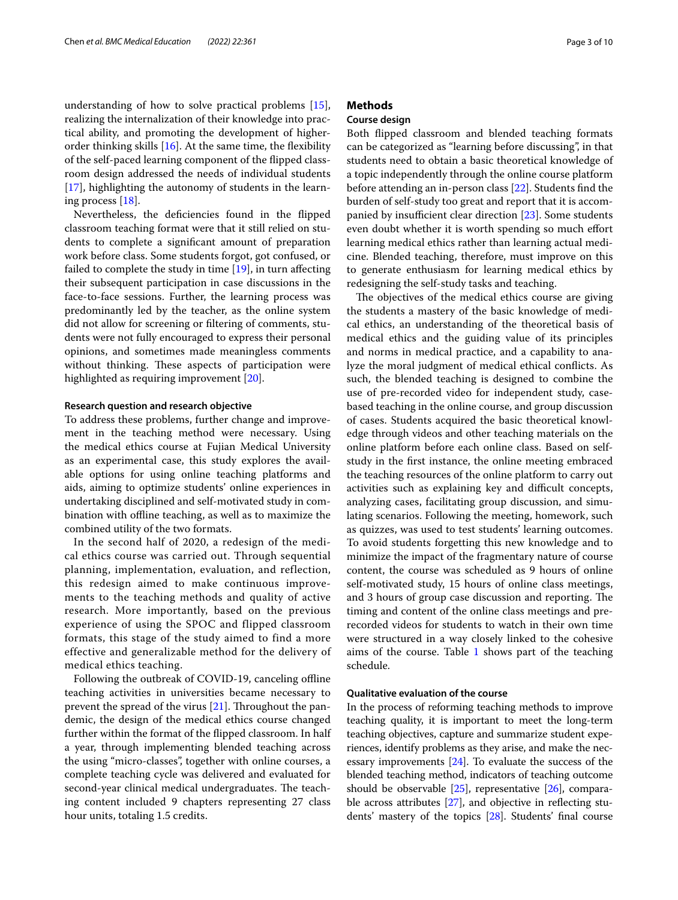understanding of how to solve practical problems [\[15](#page-8-14)], realizing the internalization of their knowledge into practical ability, and promoting the development of higherorder thinking skills  $[16]$  $[16]$ . At the same time, the flexibility of the self-paced learning component of the fipped classroom design addressed the needs of individual students [[17\]](#page-8-16), highlighting the autonomy of students in the learning process [\[18\]](#page-8-17).

Nevertheless, the defciencies found in the fipped classroom teaching format were that it still relied on students to complete a signifcant amount of preparation work before class. Some students forgot, got confused, or failed to complete the study in time [[19\]](#page-8-18), in turn afecting their subsequent participation in case discussions in the face-to-face sessions. Further, the learning process was predominantly led by the teacher, as the online system did not allow for screening or fltering of comments, students were not fully encouraged to express their personal opinions, and sometimes made meaningless comments without thinking. These aspects of participation were highlighted as requiring improvement [\[20](#page-8-19)].

#### **Research question and research objective**

To address these problems, further change and improvement in the teaching method were necessary. Using the medical ethics course at Fujian Medical University as an experimental case, this study explores the available options for using online teaching platforms and aids, aiming to optimize students' online experiences in undertaking disciplined and self-motivated study in combination with offline teaching, as well as to maximize the combined utility of the two formats.

In the second half of 2020, a redesign of the medical ethics course was carried out. Through sequential planning, implementation, evaluation, and reflection, this redesign aimed to make continuous improvements to the teaching methods and quality of active research. More importantly, based on the previous experience of using the SPOC and flipped classroom formats, this stage of the study aimed to find a more effective and generalizable method for the delivery of medical ethics teaching.

Following the outbreak of COVID-19, canceling offline teaching activities in universities became necessary to prevent the spread of the virus  $[21]$  $[21]$ . Throughout the pandemic, the design of the medical ethics course changed further within the format of the fipped classroom. In half a year, through implementing blended teaching across the using "micro-classes", together with online courses, a complete teaching cycle was delivered and evaluated for second-year clinical medical undergraduates. The teaching content included 9 chapters representing 27 class hour units, totaling 1.5 credits.

# **Methods**

## **Course design**

Both fipped classroom and blended teaching formats can be categorized as "learning before discussing", in that students need to obtain a basic theoretical knowledge of a topic independently through the online course platform before attending an in-person class [\[22\]](#page-8-21). Students fnd the burden of self-study too great and report that it is accom-panied by insufficient clear direction [[23](#page-8-22)]. Some students even doubt whether it is worth spending so much efort learning medical ethics rather than learning actual medicine. Blended teaching, therefore, must improve on this to generate enthusiasm for learning medical ethics by redesigning the self-study tasks and teaching.

The objectives of the medical ethics course are giving the students a mastery of the basic knowledge of medical ethics, an understanding of the theoretical basis of medical ethics and the guiding value of its principles and norms in medical practice, and a capability to analyze the moral judgment of medical ethical conficts. As such, the blended teaching is designed to combine the use of pre-recorded video for independent study, casebased teaching in the online course, and group discussion of cases. Students acquired the basic theoretical knowledge through videos and other teaching materials on the online platform before each online class. Based on selfstudy in the frst instance, the online meeting embraced the teaching resources of the online platform to carry out activities such as explaining key and difficult concepts, analyzing cases, facilitating group discussion, and simulating scenarios. Following the meeting, homework, such as quizzes, was used to test students' learning outcomes. To avoid students forgetting this new knowledge and to minimize the impact of the fragmentary nature of course content, the course was scheduled as 9 hours of online self-motivated study, 15 hours of online class meetings, and 3 hours of group case discussion and reporting. The timing and content of the online class meetings and prerecorded videos for students to watch in their own time were structured in a way closely linked to the cohesive aims of the course. Table  $1$  shows part of the teaching schedule.

# **Qualitative evaluation of the course**

In the process of reforming teaching methods to improve teaching quality, it is important to meet the long-term teaching objectives, capture and summarize student experiences, identify problems as they arise, and make the necessary improvements [\[24\]](#page-8-23). To evaluate the success of the blended teaching method, indicators of teaching outcome should be observable  $[25]$ , representative  $[26]$ , comparable across attributes  $[27]$  $[27]$  $[27]$ , and objective in reflecting students' mastery of the topics [\[28\]](#page-8-27). Students' fnal course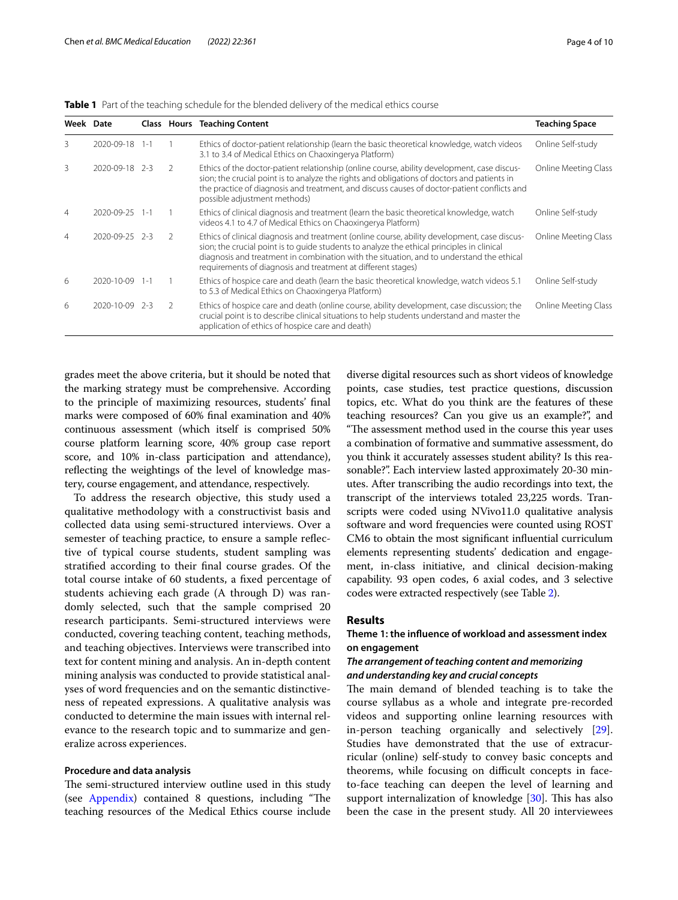| Week Date      |                |         |               | <b>Class Hours Teaching Content</b>                                                                                                                                                                                                                                                                                                                    | <b>Teaching Space</b> |
|----------------|----------------|---------|---------------|--------------------------------------------------------------------------------------------------------------------------------------------------------------------------------------------------------------------------------------------------------------------------------------------------------------------------------------------------------|-----------------------|
| 3              | 2020-09-18     | $1 - 1$ |               | Ethics of doctor-patient relationship (learn the basic theoretical knowledge, watch videos<br>3.1 to 3.4 of Medical Ethics on Chaoxingerya Platform)                                                                                                                                                                                                   | Online Self-study     |
| 3              | 2020-09-18 2-3 |         | $\mathcal{L}$ | Ethics of the doctor-patient relationship (online course, ability development, case discus-<br>sion; the crucial point is to analyze the rights and obligations of doctors and patients in<br>the practice of diagnosis and treatment, and discuss causes of doctor-patient conflicts and<br>possible adjustment methods)                              | Online Meeting Class  |
| 4              | 2020-09-25     | $1 - 1$ |               | Ethics of clinical diagnosis and treatment (learn the basic theoretical knowledge, watch<br>videos 4.1 to 4.7 of Medical Ethics on Chaoxingerya Platform)                                                                                                                                                                                              | Online Self-study     |
| $\overline{4}$ | 2020-09-25     | $2-3$   | $\mathcal{L}$ | Ethics of clinical diagnosis and treatment (online course, ability development, case discus-<br>sion; the crucial point is to quide students to analyze the ethical principles in clinical<br>diagnosis and treatment in combination with the situation, and to understand the ethical<br>requirements of diagnosis and treatment at different stages) | Online Meeting Class  |
| 6              | 2020-10-09     | 1 – 1   |               | Ethics of hospice care and death (learn the basic theoretical knowledge, watch videos 5.1<br>to 5.3 of Medical Ethics on Chaoxingerya Platform)                                                                                                                                                                                                        | Online Self-study     |
| 6              | 2020-10-09     | -2-3    | $\mathcal{L}$ | Ethics of hospice care and death (online course, ability development, case discussion; the<br>crucial point is to describe clinical situations to help students understand and master the<br>application of ethics of hospice care and death)                                                                                                          | Online Meeting Class  |

<span id="page-3-0"></span>**Table 1** Part of the teaching schedule for the blended delivery of the medical ethics course

grades meet the above criteria, but it should be noted that the marking strategy must be comprehensive. According to the principle of maximizing resources, students' fnal marks were composed of 60% fnal examination and 40% continuous assessment (which itself is comprised 50% course platform learning score, 40% group case report score, and 10% in-class participation and attendance), refecting the weightings of the level of knowledge mastery, course engagement, and attendance, respectively.

To address the research objective, this study used a qualitative methodology with a constructivist basis and collected data using semi-structured interviews. Over a semester of teaching practice, to ensure a sample refective of typical course students, student sampling was stratifed according to their fnal course grades. Of the total course intake of 60 students, a fxed percentage of students achieving each grade (A through D) was randomly selected, such that the sample comprised 20 research participants. Semi-structured interviews were conducted, covering teaching content, teaching methods, and teaching objectives. Interviews were transcribed into text for content mining and analysis. An in-depth content mining analysis was conducted to provide statistical analyses of word frequencies and on the semantic distinctiveness of repeated expressions. A qualitative analysis was conducted to determine the main issues with internal relevance to the research topic and to summarize and generalize across experiences.

#### **Procedure and data analysis**

The semi-structured interview outline used in this study (see [Appendix](#page-7-0)) contained 8 questions, including "The teaching resources of the Medical Ethics course include

diverse digital resources such as short videos of knowledge points, case studies, test practice questions, discussion topics, etc. What do you think are the features of these teaching resources? Can you give us an example?", and "The assessment method used in the course this year uses a combination of formative and summative assessment, do you think it accurately assesses student ability? Is this reasonable?". Each interview lasted approximately 20-30 minutes. After transcribing the audio recordings into text, the transcript of the interviews totaled 23,225 words. Transcripts were coded using NVivo11.0 qualitative analysis software and word frequencies were counted using ROST CM6 to obtain the most signifcant infuential curriculum elements representing students' dedication and engagement, in-class initiative, and clinical decision-making capability. 93 open codes, 6 axial codes, and 3 selective codes were extracted respectively (see Table [2](#page-4-0)).

## **Results**

# **Theme 1: the infuence of workload and assessment index on engagement**

# *The arrangement of teaching content and memorizing and understanding key and crucial concepts*

The main demand of blended teaching is to take the course syllabus as a whole and integrate pre-recorded videos and supporting online learning resources with in-person teaching organically and selectively [\[29](#page-8-28)]. Studies have demonstrated that the use of extracurricular (online) self-study to convey basic concepts and theorems, while focusing on difficult concepts in faceto-face teaching can deepen the level of learning and support internalization of knowledge [[30\]](#page-8-29). This has also been the case in the present study. All 20 interviewees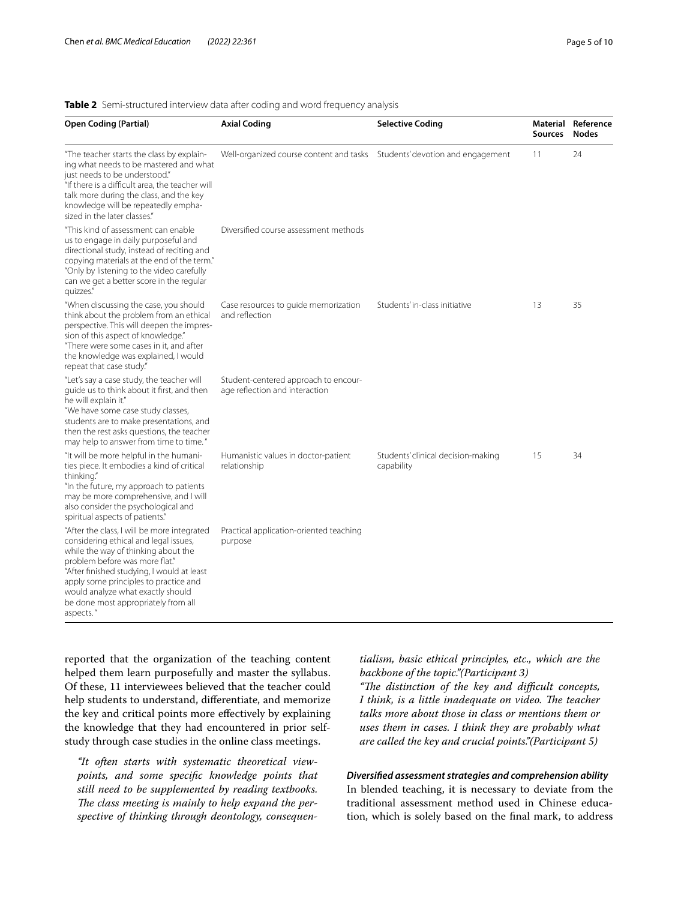## <span id="page-4-0"></span>**Table 2** Semi-structured interview data after coding and word frequency analysis

| <b>Open Coding (Partial)</b>                                                                                                                                                                                                                                                                                                                  | <b>Axial Coding</b>                                                       | <b>Selective Coding</b>                          | <b>Sources</b> | Material Reference<br><b>Nodes</b> |
|-----------------------------------------------------------------------------------------------------------------------------------------------------------------------------------------------------------------------------------------------------------------------------------------------------------------------------------------------|---------------------------------------------------------------------------|--------------------------------------------------|----------------|------------------------------------|
| "The teacher starts the class by explain-<br>ing what needs to be mastered and what<br>just needs to be understood."<br>"If there is a difficult area, the teacher will<br>talk more during the class, and the key<br>knowledge will be repeatedly empha-<br>sized in the later classes."                                                     | Well-organized course content and tasks Students' devotion and engagement |                                                  | 11             | 24                                 |
| "This kind of assessment can enable<br>us to engage in daily purposeful and<br>directional study, instead of reciting and<br>copying materials at the end of the term."<br>"Only by listening to the video carefully<br>can we get a better score in the regular<br>quizzes."                                                                 | Diversified course assessment methods                                     |                                                  |                |                                    |
| "When discussing the case, you should<br>think about the problem from an ethical<br>perspective. This will deepen the impres-<br>sion of this aspect of knowledge."<br>"There were some cases in it, and after<br>the knowledge was explained, I would<br>repeat that case study."                                                            | Case resources to quide memorization<br>and reflection                    | Students' in-class initiative                    | 13             | 35                                 |
| "Let's say a case study, the teacher will<br>quide us to think about it first, and then<br>he will explain it."<br>"We have some case study classes,<br>students are to make presentations, and<br>then the rest asks questions, the teacher<br>may help to answer from time to time."                                                        | Student-centered approach to encour-<br>age reflection and interaction    |                                                  |                |                                    |
| "It will be more helpful in the humani-<br>ties piece. It embodies a kind of critical<br>thinking."<br>"In the future, my approach to patients<br>may be more comprehensive, and I will<br>also consider the psychological and<br>spiritual aspects of patients."                                                                             | Humanistic values in doctor-patient<br>relationship                       | Students' clinical decision-making<br>capability | 15             | 34                                 |
| "After the class, I will be more integrated<br>considering ethical and legal issues,<br>while the way of thinking about the<br>problem before was more flat."<br>"After finished studying, I would at least<br>apply some principles to practice and<br>would analyze what exactly should<br>be done most appropriately from all<br>aspects." | Practical application-oriented teaching<br>purpose                        |                                                  |                |                                    |

reported that the organization of the teaching content helped them learn purposefully and master the syllabus. Of these, 11 interviewees believed that the teacher could help students to understand, diferentiate, and memorize the key and critical points more efectively by explaining the knowledge that they had encountered in prior selfstudy through case studies in the online class meetings.

*"It often starts with systematic theoretical viewpoints, and some specifc knowledge points that still need to be supplemented by reading textbooks.*  The class meeting is mainly to help expand the per*spective of thinking through deontology, consequen-* *tialism, basic ethical principles, etc., which are the backbone of the topic."(Participant 3)*

*"Te distinction of the key and difcult concepts, I think, is a little inadequate on video. The teacher talks more about those in class or mentions them or uses them in cases. I think they are probably what are called the key and crucial points."(Participant 5)*

# *Diversifed assessment strategies and comprehension ability* In blended teaching, it is necessary to deviate from the

traditional assessment method used in Chinese education, which is solely based on the fnal mark, to address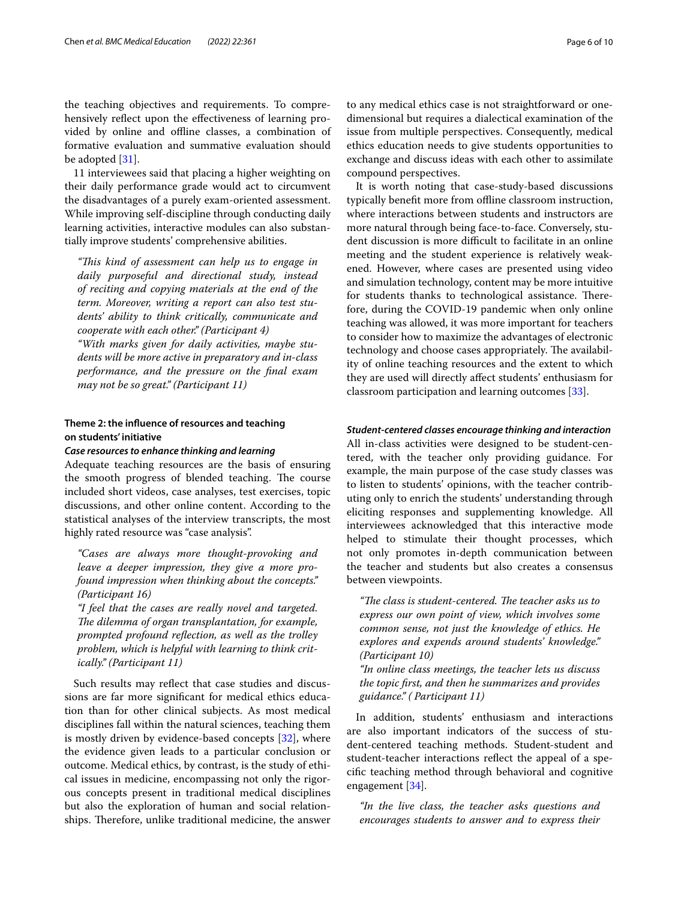the teaching objectives and requirements. To comprehensively reflect upon the effectiveness of learning provided by online and ofine classes, a combination of formative evaluation and summative evaluation should be adopted [\[31](#page-8-30)].

11 interviewees said that placing a higher weighting on their daily performance grade would act to circumvent the disadvantages of a purely exam-oriented assessment. While improving self-discipline through conducting daily learning activities, interactive modules can also substantially improve students' comprehensive abilities.

*"Tis kind of assessment can help us to engage in daily purposeful and directional study, instead of reciting and copying materials at the end of the term. Moreover, writing a report can also test students' ability to think critically, communicate and cooperate with each other." (Participant 4)*

*"With marks given for daily activities, maybe students will be more active in preparatory and in-class performance, and the pressure on the fnal exam may not be so great." (Participant 11)*

# **Theme 2: the infuence of resources and teaching on students' initiative**

## *Case resources to enhance thinking and learning*

Adequate teaching resources are the basis of ensuring the smooth progress of blended teaching. The course included short videos, case analyses, test exercises, topic discussions, and other online content. According to the statistical analyses of the interview transcripts, the most highly rated resource was "case analysis".

*"Cases are always more thought-provoking and leave a deeper impression, they give a more profound impression when thinking about the concepts." (Participant 16)*

*"I feel that the cases are really novel and targeted. The dilemma of organ transplantation, for example, prompted profound refection, as well as the trolley problem, which is helpful with learning to think critically." (Participant 11)*

Such results may refect that case studies and discussions are far more signifcant for medical ethics education than for other clinical subjects. As most medical disciplines fall within the natural sciences, teaching them is mostly driven by evidence-based concepts [\[32](#page-8-31)], where the evidence given leads to a particular conclusion or outcome. Medical ethics, by contrast, is the study of ethical issues in medicine, encompassing not only the rigorous concepts present in traditional medical disciplines but also the exploration of human and social relationships. Therefore, unlike traditional medicine, the answer to any medical ethics case is not straightforward or onedimensional but requires a dialectical examination of the issue from multiple perspectives. Consequently, medical ethics education needs to give students opportunities to exchange and discuss ideas with each other to assimilate compound perspectives.

It is worth noting that case-study-based discussions typically beneft more from ofine classroom instruction, where interactions between students and instructors are more natural through being face-to-face. Conversely, student discussion is more difficult to facilitate in an online meeting and the student experience is relatively weakened. However, where cases are presented using video and simulation technology, content may be more intuitive for students thanks to technological assistance. Therefore, during the COVID-19 pandemic when only online teaching was allowed, it was more important for teachers to consider how to maximize the advantages of electronic technology and choose cases appropriately. The availability of online teaching resources and the extent to which they are used will directly afect students' enthusiasm for classroom participation and learning outcomes [\[33](#page-8-32)].

#### *Student‑centered classes encourage thinking and interaction*

All in-class activities were designed to be student-centered, with the teacher only providing guidance. For example, the main purpose of the case study classes was to listen to students' opinions, with the teacher contributing only to enrich the students' understanding through eliciting responses and supplementing knowledge. All interviewees acknowledged that this interactive mode helped to stimulate their thought processes, which not only promotes in-depth communication between the teacher and students but also creates a consensus between viewpoints.

"The class is student-centered. The teacher asks us to *express our own point of view, which involves some common sense, not just the knowledge of ethics. He explores and expends around students' knowledge." (Participant 10)*

*"In online class meetings, the teacher lets us discuss the topic frst, and then he summarizes and provides guidance." ( Participant 11)*

In addition, students' enthusiasm and interactions are also important indicators of the success of student-centered teaching methods. Student-student and student-teacher interactions refect the appeal of a specifc teaching method through behavioral and cognitive engagement [[34\]](#page-8-33).

*"In the live class, the teacher asks questions and encourages students to answer and to express their*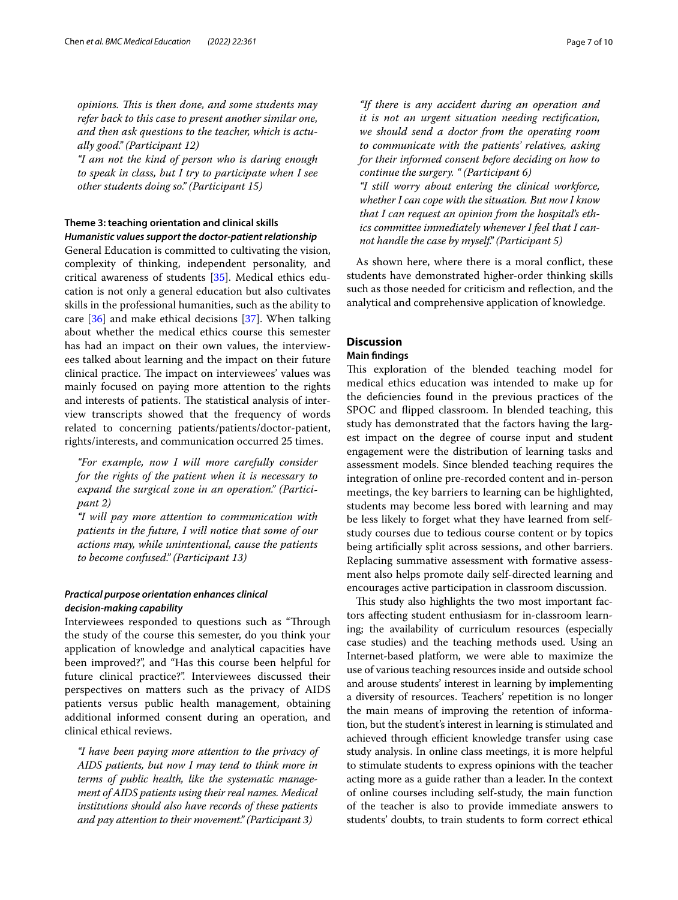*opinions. Tis is then done, and some students may refer back to this case to present another similar one, and then ask questions to the teacher, which is actually good." (Participant 12)*

*"I am not the kind of person who is daring enough to speak in class, but I try to participate when I see other students doing so." (Participant 15)*

## **Theme 3: teaching orientation and clinical skills** *Humanistic values support the doctor‑patient relationship*

General Education is committed to cultivating the vision, complexity of thinking, independent personality, and critical awareness of students [[35\]](#page-8-34). Medical ethics education is not only a general education but also cultivates skills in the professional humanities, such as the ability to care [\[36](#page-8-35)] and make ethical decisions [\[37](#page-9-0)]. When talking about whether the medical ethics course this semester has had an impact on their own values, the interviewees talked about learning and the impact on their future clinical practice. The impact on interviewees' values was mainly focused on paying more attention to the rights and interests of patients. The statistical analysis of interview transcripts showed that the frequency of words related to concerning patients/patients/doctor-patient, rights/interests, and communication occurred 25 times.

*"For example, now I will more carefully consider for the rights of the patient when it is necessary to expand the surgical zone in an operation." (Participant 2)*

*"I will pay more attention to communication with patients in the future, I will notice that some of our actions may, while unintentional, cause the patients to become confused." (Participant 13)*

# *Practical purpose orientation enhances clinical decision‑making capability*

Interviewees responded to questions such as "Through the study of the course this semester, do you think your application of knowledge and analytical capacities have been improved?", and "Has this course been helpful for future clinical practice?". Interviewees discussed their perspectives on matters such as the privacy of AIDS patients versus public health management, obtaining additional informed consent during an operation, and clinical ethical reviews.

*"I have been paying more attention to the privacy of AIDS patients, but now I may tend to think more in terms of public health, like the systematic management of AIDS patients using their real names. Medical institutions should also have records of these patients and pay attention to their movement." (Participant 3)*

*"If there is any accident during an operation and it is not an urgent situation needing rectifcation, we should send a doctor from the operating room to communicate with the patients' relatives, asking for their informed consent before deciding on how to continue the surgery. " (Participant 6)*

*"I still worry about entering the clinical workforce, whether I can cope with the situation. But now I know that I can request an opinion from the hospital's ethics committee immediately whenever I feel that I cannot handle the case by myself." (Participant 5)*

As shown here, where there is a moral confict, these students have demonstrated higher-order thinking skills such as those needed for criticism and refection, and the analytical and comprehensive application of knowledge.

# **Discussion**

## **Main fndings**

This exploration of the blended teaching model for medical ethics education was intended to make up for the defciencies found in the previous practices of the SPOC and fipped classroom. In blended teaching, this study has demonstrated that the factors having the largest impact on the degree of course input and student engagement were the distribution of learning tasks and assessment models. Since blended teaching requires the integration of online pre-recorded content and in-person meetings, the key barriers to learning can be highlighted, students may become less bored with learning and may be less likely to forget what they have learned from selfstudy courses due to tedious course content or by topics being artifcially split across sessions, and other barriers. Replacing summative assessment with formative assessment also helps promote daily self-directed learning and encourages active participation in classroom discussion.

This study also highlights the two most important factors afecting student enthusiasm for in-classroom learning; the availability of curriculum resources (especially case studies) and the teaching methods used. Using an Internet-based platform, we were able to maximize the use of various teaching resources inside and outside school and arouse students' interest in learning by implementing a diversity of resources. Teachers' repetition is no longer the main means of improving the retention of information, but the student's interest in learning is stimulated and achieved through efficient knowledge transfer using case study analysis. In online class meetings, it is more helpful to stimulate students to express opinions with the teacher acting more as a guide rather than a leader. In the context of online courses including self-study, the main function of the teacher is also to provide immediate answers to students' doubts, to train students to form correct ethical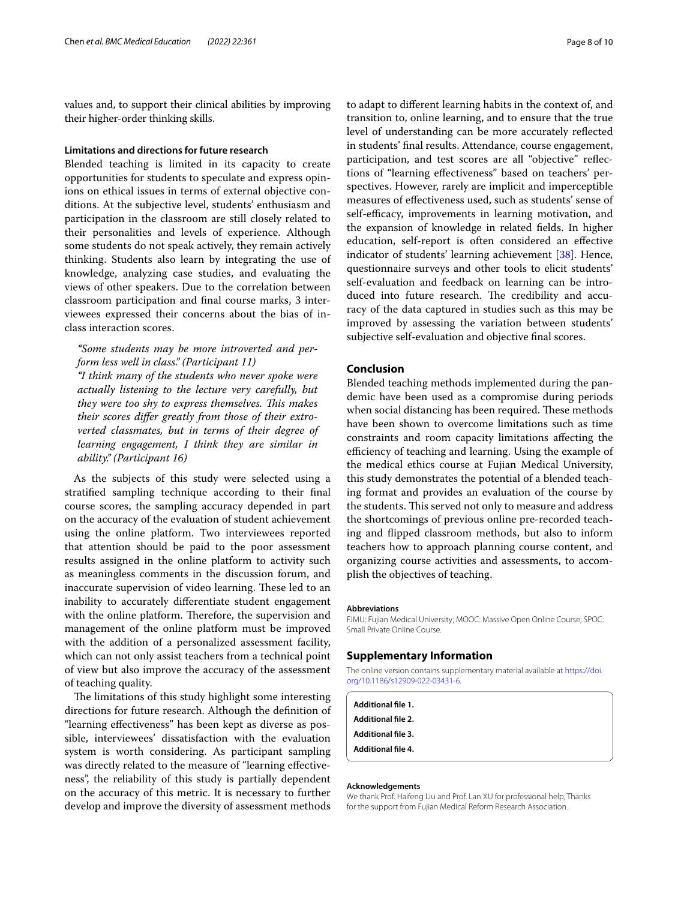values and, to support their clinical abilities by improving their higher-order thinking skills.

## **Limitations and directions for future research**

Blended teaching is limited in its capacity to create opportunities for students to speculate and express opinions on ethical issues in terms of external objective conditions. At the subjective level, students' enthusiasm and participation in the classroom are still closely related to their personalities and levels of experience. Although some students do not speak actively, they remain actively thinking. Students also learn by integrating the use of knowledge, analyzing case studies, and evaluating the views of other speakers. Due to the correlation between classroom participation and fnal course marks, 3 interviewees expressed their concerns about the bias of inclass interaction scores.

*"Some students may be more introverted and perform less well in class." (Participant 11)*

*"I think many of the students who never spoke were actually listening to the lecture very carefully, but they were too shy to express themselves. Tis makes their scores difer greatly from those of their extroverted classmates, but in terms of their degree of learning engagement, I think they are similar in ability." (Participant 16)*

As the subjects of this study were selected using a stratifed sampling technique according to their fnal course scores, the sampling accuracy depended in part on the accuracy of the evaluation of student achievement using the online platform. Two interviewees reported that attention should be paid to the poor assessment results assigned in the online platform to activity such as meaningless comments in the discussion forum, and inaccurate supervision of video learning. These led to an inability to accurately diferentiate student engagement with the online platform. Therefore, the supervision and management of the online platform must be improved with the addition of a personalized assessment facility, which can not only assist teachers from a technical point of view but also improve the accuracy of the assessment of teaching quality.

The limitations of this study highlight some interesting directions for future research. Although the defnition of "learning efectiveness" has been kept as diverse as possible, interviewees' dissatisfaction with the evaluation system is worth considering. As participant sampling was directly related to the measure of "learning efectiveness", the reliability of this study is partially dependent on the accuracy of this metric. It is necessary to further develop and improve the diversity of assessment methods

to adapt to diferent learning habits in the context of, and transition to, online learning, and to ensure that the true level of understanding can be more accurately refected in students' fnal results. Attendance, course engagement, participation, and test scores are all "objective" refections of "learning efectiveness" based on teachers' perspectives. However, rarely are implicit and imperceptible measures of efectiveness used, such as students' sense of self-efficacy, improvements in learning motivation, and the expansion of knowledge in related felds. In higher education, self-report is often considered an efective indicator of students' learning achievement [[38](#page-9-1)]. Hence, questionnaire surveys and other tools to elicit students' self-evaluation and feedback on learning can be introduced into future research. The credibility and accuracy of the data captured in studies such as this may be improved by assessing the variation between students' subjective self-evaluation and objective fnal scores.

## **Conclusion**

Blended teaching methods implemented during the pandemic have been used as a compromise during periods when social distancing has been required. These methods have been shown to overcome limitations such as time constraints and room capacity limitations afecting the efficiency of teaching and learning. Using the example of the medical ethics course at Fujian Medical University, this study demonstrates the potential of a blended teaching format and provides an evaluation of the course by the students. This served not only to measure and address the shortcomings of previous online pre-recorded teaching and fipped classroom methods, but also to inform teachers how to approach planning course content, and organizing course activities and assessments, to accomplish the objectives of teaching.

#### **Abbreviations**

FJMU: Fujian Medical University; MOOC: Massive Open Online Course; SPOC: Small Private Online Course.

## **Supplementary Information**

The online version contains supplementary material available at [https://doi.](https://doi.org/10.1186/s12909-022-03431-6) [org/10.1186/s12909-022-03431-6](https://doi.org/10.1186/s12909-022-03431-6).

<span id="page-7-0"></span>**Additional fle 1. Additional fle 2. Additional fle 3. Additional fle 4.**

#### **Acknowledgements**

We thank Prof. Haifeng Liu and Prof. Lan XU for professional help; Thanks for the support from Fujian Medical Reform Research Association.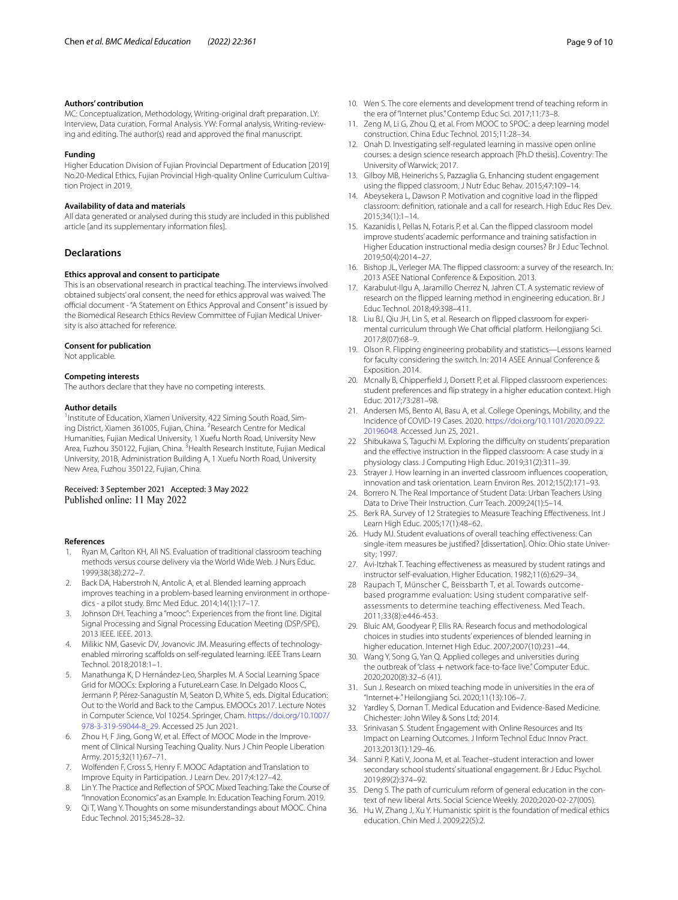#### **Authors' contribution**

MC: Conceptualization, Methodology, Writing-original draft preparation. LY: Interview, Data curation, Formal Analysis. YW: Formal analysis, Writing-reviewing and editing. The author(s) read and approved the fnal manuscript.

#### **Funding**

Higher Education Division of Fujian Provincial Department of Education [2019] No.20-Medical Ethics, Fujian Provincial High-quality Online Curriculum Cultivation Project in 2019.

#### **Availability of data and materials**

All data generated or analysed during this study are included in this published article [and its supplementary information fles].

## **Declarations**

#### **Ethics approval and consent to participate**

This is an observational research in practical teaching. The interviews involved obtained subjects' oral consent, the need for ethics approval was waived. The official document - "A Statement on Ethics Approval and Consent" is issued by the Biomedical Research Ethics Review Committee of Fujian Medical University is also attached for reference.

#### **Consent for publication**

Not applicable.

#### **Competing interests**

The authors declare that they have no competing interests.

#### **Author details**

<sup>1</sup> Institute of Education, Xiamen University, 422 Siming South Road, Siming District, Xiamen 361005, Fujian, China. <sup>2</sup> Research Centre for Medical Humanities, Fujian Medical University, 1 Xuefu North Road, University New Area, Fuzhou 350122, Fujian, China. <sup>3</sup>Health Research Institute, Fujian Medical University, 201B, Administration Building A, 1 Xuefu North Road, University New Area, Fuzhou 350122, Fujian, China.

#### Received: 3 September 2021 Accepted: 3 May 2022 Published online: 11 May 2022

#### **References**

- <span id="page-8-0"></span>1. Ryan M, Carlton KH, Ali NS. Evaluation of traditional classroom teaching methods versus course delivery via the World Wide Web. J Nurs Educ. 1999;38(38):272–7.
- <span id="page-8-1"></span>2. Back DA, Haberstroh N, Antolic A, et al. Blended learning approach improves teaching in a problem-based learning environment in orthopedics - a pilot study. Bmc Med Educ. 2014;14(1):17–17.
- <span id="page-8-2"></span>3. Johnson DH. Teaching a "mooc": Experiences from the front line. Digital Signal Processing and Signal Processing Education Meeting (DSP/SPE), 2013 IEEE. IEEE. 2013.
- <span id="page-8-3"></span>4. Milikic NM, Gasevic DV, Jovanovic JM. Measuring effects of technologyenabled mirroring scaffolds on self-regulated learning. IEEE Trans Learn Technol. 2018;2018:1–1.
- <span id="page-8-4"></span>5. Manathunga K, D Hernández-Leo, Sharples M. A Social Learning Space Grid for MOOCs: Exploring a FutureLearn Case. In Delgado Kloos C, Jermann P, Pérez-Sanagustín M, Seaton D, White S, eds. Digital Education: Out to the World and Back to the Campus. EMOOCs 2017. Lecture Notes in Computer Science, Vol 10254. Springer, Cham. [https://doi.org/10.1007/](https://doi.org/10.1007/978-3-319-59044-8_29) [978-3-319-59044-8\\_29](https://doi.org/10.1007/978-3-319-59044-8_29). Accessed 25 Jun 2021.
- <span id="page-8-5"></span>6. Zhou H, F Jing, Gong W, et al. Efect of MOOC Mode in the Improvement of Clinical Nursing Teaching Quality. Nurs J Chin People Liberation Army. 2015;32(11):67–71.
- <span id="page-8-6"></span>7. Wolfenden F, Cross S, Henry F. MOOC Adaptation and Translation to Improve Equity in Participation. J Learn Dev. 2017;4:127–42.
- <span id="page-8-7"></span>8. Lin Y. The Practice and Refection of SPOC Mixed Teaching: Take the Course of "Innovation Economics" as an Example. In: Education Teaching Forum. 2019.
- <span id="page-8-8"></span>9. Qi T, Wang Y. Thoughts on some misunderstandings about MOOC. China Educ Technol. 2015;345:28–32.
- <span id="page-8-9"></span>10. Wen S. The core elements and development trend of teaching reform in the era of "Internet plus." Contemp Educ Sci. 2017;11:73–8.
- <span id="page-8-10"></span>11. Zeng M, Li G, Zhou Q, et al. From MOOC to SPOC: a deep learning model construction. China Educ Technol. 2015;11:28–34.
- <span id="page-8-11"></span>12. Onah D. Investigating self-regulated learning in massive open online courses: a design science research approach [Ph.D thesis]. Coventry: The University of Warwick; 2017.
- <span id="page-8-12"></span>13. Gilboy MB, Heinerichs S, Pazzaglia G. Enhancing student engagement using the fipped classroom. J Nutr Educ Behav. 2015;47:109–14.
- <span id="page-8-13"></span>14. Abeysekera L, Dawson P. Motivation and cognitive load in the fipped classroom: defnition, rationale and a call for research. High Educ Res Dev. 2015;34(1):1–14.
- <span id="page-8-14"></span>15. Kazanidis I, Pellas N, Fotaris P, et al. Can the fipped classroom model improve students' academic performance and training satisfaction in Higher Education instructional media design courses? Br J Educ Technol. 2019;50(4):2014–27.
- <span id="page-8-15"></span>16. Bishop JL, Verleger MA. The fipped classroom: a survey of the research. In: 2013 ASEE National Conference & Exposition. 2013.
- <span id="page-8-16"></span>17. Karabulut-Ilgu A, Jaramillo Cherrez N, Jahren CT. A systematic review of research on the fipped learning method in engineering education. Br J Educ Technol. 2018;49:398–411.
- <span id="page-8-17"></span>18. Liu BJ, Qiu JH, Lin S, et al. Research on fipped classroom for experimental curriculum through We Chat official platform. Heilongjiang Sci. 2017;8(07):68–9.
- <span id="page-8-18"></span>19. Olson R. Flipping engineering probability and statistics—Lessons learned for faculty considering the switch. In: 2014 ASEE Annual Conference & Exposition. 2014.
- <span id="page-8-19"></span>20. Mcnally B, Chipperfield J, Dorsett P, et al. Flipped classroom experiences: student preferences and fip strategy in a higher education context. High Educ. 2017;73:281–98.
- <span id="page-8-20"></span>21. Andersen MS, Bento AI, Basu A, et al. College Openings, Mobility, and the Incidence of COVID-19 Cases. 2020. [https://doi.org/10.1101/2020.09.22.](https://doi.org/10.1101/2020.09.22.20196048) [20196048](https://doi.org/10.1101/2020.09.22.20196048). Accessed Jun 25, 2021.
- <span id="page-8-21"></span>22 Shibukawa S, Taguchi M. Exploring the difficulty on students' preparation and the efective instruction in the fipped classroom: A case study in a physiology class. J Computing High Educ. 2019;31(2):311–39.
- <span id="page-8-22"></span>23. Strayer J. How learning in an inverted classroom infuences cooperation, innovation and task orientation. Learn Environ Res. 2012;15(2):171–93.
- <span id="page-8-23"></span>24. Borrero N. The Real Importance of Student Data: Urban Teachers Using Data to Drive Their Instruction. Curr Teach. 2009;24(1):5–14.
- <span id="page-8-24"></span>25. Berk RA. Survey of 12 Strategies to Measure Teaching Effectiveness. Int J Learn High Educ. 2005;17(1):48–62.
- <span id="page-8-25"></span>26. Hudy MJ. Student evaluations of overall teaching efectiveness: Can single-item measures be justifed? [dissertation]. Ohio: Ohio state University; 1997.
- <span id="page-8-26"></span>27. Avi-Itzhak T. Teaching efectiveness as measured by student ratings and instructor self-evaluation. Higher Education. 1982;11(6):629–34.
- <span id="page-8-27"></span>28 Raupach T, Münscher C, Beissbarth T, et al. Towards outcomebased programme evaluation: Using student comparative selfassessments to determine teaching effectiveness. Med Teach. 2011;33(8):e446-453.
- <span id="page-8-28"></span>29. Bluic AM, Goodyear P, Ellis RA. Research focus and methodological choices in studies into students' experiences of blended learning in higher education. Internet High Educ. 2007;2007(10):231–44.
- <span id="page-8-29"></span>30. Wang Y, Song G, Yan Q. Applied colleges and universities during the outbreak of "class + network face-to-face live." Computer Educ. 2020;2020(8):32–6 (41).
- <span id="page-8-30"></span>31. Sun J. Research on mixed teaching mode in universities in the era of "Internet+." Heilongjiang Sci. 2020;11(13):106–7.
- <span id="page-8-31"></span>32 Yardley S, Dornan T. Medical Education and Evidence-Based Medicine. Chichester: John Wiley & Sons Ltd; 2014.
- <span id="page-8-32"></span>33. Srinivasan S. Student Engagement with Online Resources and Its Impact on Learning Outcomes. J Inform Technol Educ Innov Pract. 2013;2013(1):129–46.
- <span id="page-8-33"></span>34. Sanni P, Kati V, Joona M, et al. Teacher–student interaction and lower secondary school students' situational engagement. Br J Educ Psychol. 2019;89(2):374–92.
- <span id="page-8-34"></span>35. Deng S. The path of curriculum reform of general education in the context of new liberal Arts. Social Science Weekly. 2020;2020-02-27(005).
- <span id="page-8-35"></span>36. Hu W, Zhang J, Xu Y. Humanistic spirit is the foundation of medical ethics education. Chin Med J. 2009;22(5):2.